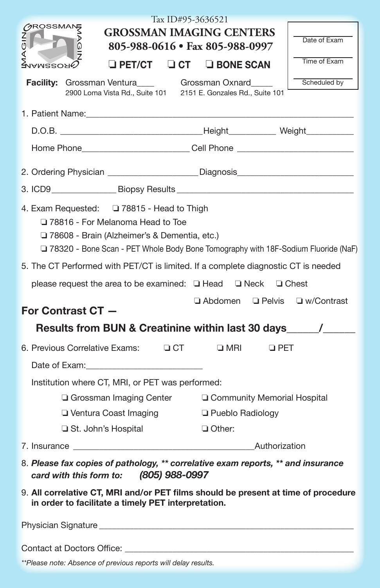| Tax ID#95-3636521                                                                                                                                                                                                                         |                                 |                    |            |              |
|-------------------------------------------------------------------------------------------------------------------------------------------------------------------------------------------------------------------------------------------|---------------------------------|--------------------|------------|--------------|
| <b>CROSSMANS</b><br><b>GROSSMAN IMAGING CENTERS</b>                                                                                                                                                                                       |                                 |                    |            |              |
| AGIN<br>ō<br>⋖                                                                                                                                                                                                                            | 805-988-0616 • Fax 805-988-0997 |                    |            | Date of Exam |
| $\sqcup$ PET/CT $\sqcup$ CT $\sqcup$ BONE SCAN<br>ламгеоя $\oslash$                                                                                                                                                                       |                                 |                    |            | Time of Exam |
| Facility: Grossman Ventura____ Grossman Oxnard____<br>2900 Loma Vista Rd., Suite 101 2151 E. Gonzales Rd., Suite 101                                                                                                                      |                                 |                    |            | Scheduled by |
| 1. Patient Name: The contract of the contract of the contract of the contract of the contract of the contract of the contract of the contract of the contract of the contract of the contract of the contract of the contract             |                                 |                    |            |              |
|                                                                                                                                                                                                                                           |                                 |                    |            |              |
| Home Phone____________________________Cell Phone _______________________________                                                                                                                                                          |                                 |                    |            |              |
| 2. Ordering Physician ____________________Diagnosis_____________________________                                                                                                                                                          |                                 |                    |            |              |
|                                                                                                                                                                                                                                           |                                 |                    |            |              |
| 4. Exam Requested: 4. Exam Requested: 378815 - Head to Thigh<br>78816 - For Melanoma Head to Toe<br>□ 78608 - Brain (Alzheimer's & Dementia, etc.)<br>□ 78320 - Bone Scan - PET Whole Body Bone Tomography with 18F-Sodium Fluoride (NaF) |                                 |                    |            |              |
| 5. The CT Performed with PET/CT is limited. If a complete diagnostic CT is needed                                                                                                                                                         |                                 |                    |            |              |
| please request the area to be examined: □ Head □ Neck □ Chest                                                                                                                                                                             |                                 |                    |            |              |
| $\Box$ Abdomen $\Box$ Pelvis $\Box$ w/Contrast<br>For Contrast CT -                                                                                                                                                                       |                                 |                    |            |              |
| Results from BUN & Creatinine within last 30 days_______________________________                                                                                                                                                          |                                 |                    |            |              |
| 6. Previous Correlative Exams: 4 CT                                                                                                                                                                                                       |                                 | $\square$ MRI      | $\Box$ PET |              |
|                                                                                                                                                                                                                                           |                                 |                    |            |              |
| Institution where CT, MRI, or PET was performed:                                                                                                                                                                                          |                                 |                    |            |              |
| □ Grossman Imaging Center<br>□ Community Memorial Hospital                                                                                                                                                                                |                                 |                    |            |              |
| □ Ventura Coast Imaging                                                                                                                                                                                                                   |                                 | □ Pueblo Radiology |            |              |
| St. John's Hospital                                                                                                                                                                                                                       |                                 | □ Other:           |            |              |
| /.lnsurance ____________<br>Authorization                                                                                                                                                                                                 |                                 |                    |            |              |
| 8. Please fax copies of pathology, ** correlative exam reports, ** and insurance<br>(805) 988-0997<br>card with this form to:                                                                                                             |                                 |                    |            |              |
| 9. All correlative CT, MRI and/or PET films should be present at time of procedure<br>in order to facilitate a timely PET interpretation.                                                                                                 |                                 |                    |            |              |
|                                                                                                                                                                                                                                           |                                 |                    |            |              |

Contact at Doctors Office: \_\_\_\_\_\_\_\_\_\_\_\_\_\_\_\_\_\_\_\_\_\_\_\_\_\_\_\_\_\_\_\_\_\_\_\_\_\_\_\_\_\_\_\_\_\_\_\_\_\_\_\_\_

*\*\*Please note: Absence of previous reports will delay results.*